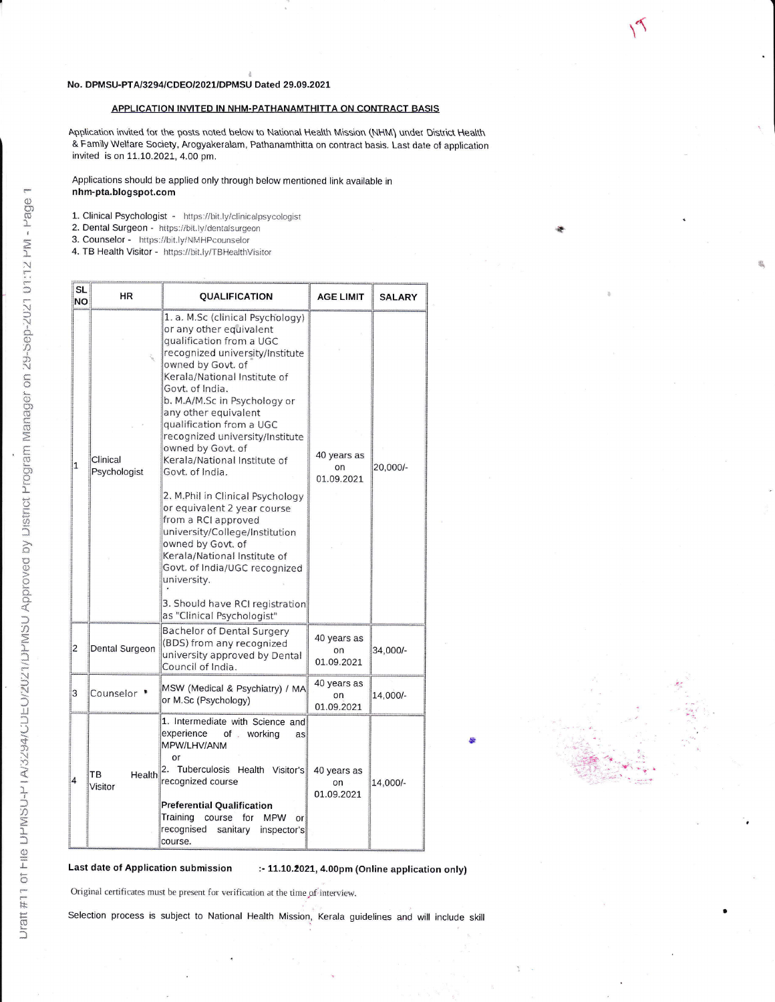## No. DPMSU-PTA/3294/CDEO/2021/DPMSU Dated 29.09.2021

## APPLICATION INVITED IN NHM-PATHANAMTHITTA ON CONTRACT BASIS

Application invited for the posts noted below to National Health Mission (NHM) under District Health & Family Welfare Society, Arogyakeralam, Pathanamthitta on contract basis. Last date of application invited is on 11.10.2021, 4.00 pm.

Applications should be applied only through below mentioned link available in nhm-pta.blogspot.com

1. Clinical Psychologist - https://bit.ly/clinicalpsycologist

2. Dental Surgeon - https://bit.ly/dentalsurgeon

3. Counselor - https://bit.ly/NMHPcounselor

4. TB Health Visitor - https://bit.ly/TBHealthVisitor

| SL<br><b>NO</b> | HR                       | QUALIFICATION                                                                                                                                                                                                                                                                                                                                                                                                                                                                                                                                                                                                                                                                                       | <b>AGE LIMIT</b>                | <b>SALARY</b> |
|-----------------|--------------------------|-----------------------------------------------------------------------------------------------------------------------------------------------------------------------------------------------------------------------------------------------------------------------------------------------------------------------------------------------------------------------------------------------------------------------------------------------------------------------------------------------------------------------------------------------------------------------------------------------------------------------------------------------------------------------------------------------------|---------------------------------|---------------|
| 1               | Clinical<br>Psychologist | 1. a. M.Sc (clinical Psychology)<br>or any other equivalent<br>qualification from a UGC<br>recognized university/Institute<br>owned by Govt. of<br>Kerala/National Institute of<br>Govt. of India.<br>b. M.A/M.Sc in Psychology or<br>any other equivalent<br>qualification from a UGC<br>recognized university/Institute<br>owned by Govt. of<br>Kerala/National Institute of<br>Govt. of India.<br>2. M.Phil in Clinical Psychology<br>or equivalent 2 year course<br>from a RCI approved<br>university/College/Institution<br>owned by Govt. of<br>Kerala/National Institute of<br>Govt. of India/UGC recognized<br>university.<br>3. Should have RCI registration<br>as "Clinical Psychologist" | 40 years as<br>on<br>01.09.2021 | 20,000/-      |
| 2               | Dental Surgeon           | <b>Bachelor of Dental Surgery</b><br>(BDS) from any recognized<br>university approved by Dental<br>Council of India.                                                                                                                                                                                                                                                                                                                                                                                                                                                                                                                                                                                | 40 years as<br>on<br>01.09.2021 | 34,000/-      |
| 3               | Counselor *              | MSW (Medical & Psychiatry) / MA<br>or M.Sc (Psychology)                                                                                                                                                                                                                                                                                                                                                                                                                                                                                                                                                                                                                                             | 40 years as<br>on<br>01.09.2021 | 14,000/-      |
| ļ.              | TB<br>Health<br>Visitor  | 1. Intermediate with Science and<br>experience<br>of working<br>as<br>MPW/LHV/ANM<br>or<br>2. Tuberculosis Health Visitor's<br>recognized course<br><b>Preferential Qualification</b><br>Training<br>course<br>for<br><b>MPW</b><br>or<br>recognised sanitary<br>inspector's<br>course.                                                                                                                                                                                                                                                                                                                                                                                                             | 40 years as<br>on<br>01.09.2021 | 14,000/-      |

Last date of Application submission

Original certificates must be present for verification at the time of interview.

Selection process is subject to National Health Mission, Kerala guidelines and will include skill

:- 11.10.2021, 4.00pm (Online application only)